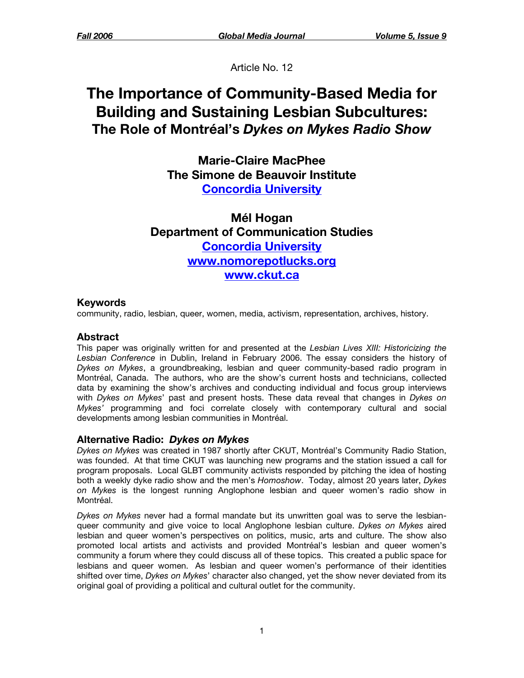Article No. 12

# **The Importance of Community-Based Media for Building and Sustaining Lesbian Subcultures: The Role of Montréal's** *Dykes on Mykes Radio Show*

**Marie-Claire MacPhee The Simone de Beauvoir Institute [Concordia University](http://www.concordia.ca/)**

**Mél Hogan Department of Communication Studies [Concordia University](http://www.concordia.ca/) [www.nomorepotlucks.org](http://www.nomorepotlucks.org/) [www.ckut.ca](http://www.ckut.ca/)**

## **Keywords**

community, radio, lesbian, queer, women, media, activism, representation, archives, history.

## **Abstract**

This paper was originally written for and presented at the *Lesbian Lives XIII: Historicizing the Lesbian Conference* in Dublin, Ireland in February 2006. The essay considers the history of *Dykes on Mykes*, a groundbreaking, lesbian and queer community-based radio program in Montréal, Canada. The authors, who are the show's current hosts and technicians, collected data by examining the show's archives and conducting individual and focus group interviews with *Dykes on Mykes*' past and present hosts. These data reveal that changes in *Dykes on Mykes'* programming and foci correlate closely with contemporary cultural and social developments among lesbian communities in Montréal.

### **Alternative Radio:** *Dykes on Mykes*

*Dykes on Mykes* was created in 1987 shortly after CKUT, Montréal's Community Radio Station, was founded. At that time CKUT was launching new programs and the station issued a call for program proposals. Local GLBT community activists responded by pitching the idea of hosting both a weekly dyke radio show and the men's *Homoshow*. Today, almost 20 years later, *Dykes on Mykes* is the longest running Anglophone lesbian and queer women's radio show in Montréal.

*Dykes on Mykes* never had a formal mandate but its unwritten goal was to serve the lesbianqueer community and give voice to local Anglophone lesbian culture. *Dykes on Mykes* aired lesbian and queer women's perspectives on politics, music, arts and culture. The show also promoted local artists and activists and provided Montréal's lesbian and queer women's community a forum where they could discuss all of these topics. This created a public space for lesbians and queer women. As lesbian and queer women's performance of their identities shifted over time, *Dykes on Mykes*' character also changed, yet the show never deviated from its original goal of providing a political and cultural outlet for the community.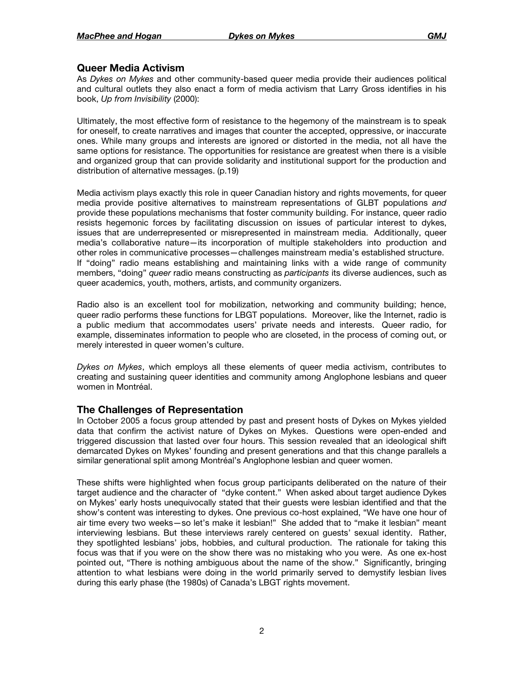#### **Queer Media Activism**

As *Dykes on Mykes* and other community-based queer media provide their audiences political and cultural outlets they also enact a form of media activism that Larry Gross identifies in his book, *Up from Invisibility* (2000):

Ultimately, the most effective form of resistance to the hegemony of the mainstream is to speak for oneself, to create narratives and images that counter the accepted, oppressive, or inaccurate ones. While many groups and interests are ignored or distorted in the media, not all have the same options for resistance. The opportunities for resistance are greatest when there is a visible and organized group that can provide solidarity and institutional support for the production and distribution of alternative messages. (p.19)

Media activism plays exactly this role in queer Canadian history and rights movements, for queer media provide positive alternatives to mainstream representations of GLBT populations *and* provide these populations mechanisms that foster community building. For instance, queer radio resists hegemonic forces by facilitating discussion on issues of particular interest to dykes, issues that are underrepresented or misrepresented in mainstream media. Additionally, queer media's collaborative nature—its incorporation of multiple stakeholders into production and other roles in communicative processes—challenges mainstream media's established structure. If "doing" radio means establishing and maintaining links with a wide range of community members, "doing" *queer* radio means constructing as *participants* its diverse audiences, such as queer academics, youth, mothers, artists, and community organizers.

Radio also is an excellent tool for mobilization, networking and community building; hence, queer radio performs these functions for LBGT populations. Moreover, like the Internet, radio is a public medium that accommodates users' private needs and interests. Queer radio, for example, disseminates information to people who are closeted, in the process of coming out, or merely interested in queer women's culture.

*Dykes on Mykes*, which employs all these elements of queer media activism, contributes to creating and sustaining queer identities and community among Anglophone lesbians and queer women in Montréal.

### **The Challenges of Representation**

In October 2005 a focus group attended by past and present hosts of Dykes on Mykes yielded data that confirm the activist nature of Dykes on Mykes. Questions were open-ended and triggered discussion that lasted over four hours. This session revealed that an ideological shift demarcated Dykes on Mykes' founding and present generations and that this change parallels a similar generational split among Montréal's Anglophone lesbian and queer women.

These shifts were highlighted when focus group participants deliberated on the nature of their target audience and the character of "dyke content." When asked about target audience Dykes on Mykes' early hosts unequivocally stated that their guests were lesbian identified and that the show's content was interesting to dykes. One previous co-host explained, "We have one hour of air time every two weeks—so let's make it lesbian!" She added that to "make it lesbian" meant interviewing lesbians. But these interviews rarely centered on guests' sexual identity. Rather, they spotlighted lesbians' jobs, hobbies, and cultural production. The rationale for taking this focus was that if you were on the show there was no mistaking who you were. As one ex-host pointed out, "There is nothing ambiguous about the name of the show." Significantly, bringing attention to what lesbians were doing in the world primarily served to demystify lesbian lives during this early phase (the 1980s) of Canada's LBGT rights movement.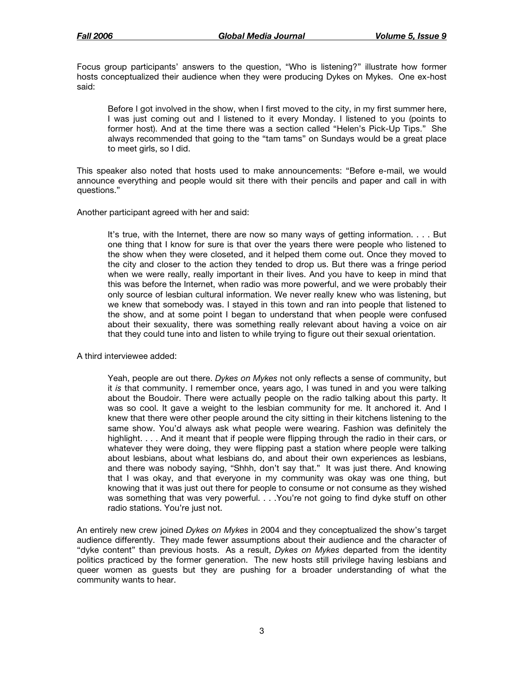Focus group participants' answers to the question, "Who is listening?" illustrate how former hosts conceptualized their audience when they were producing Dykes on Mykes. One ex-host said:

Before I got involved in the show, when I first moved to the city, in my first summer here, I was just coming out and I listened to it every Monday. I listened to you (points to former host). And at the time there was a section called "Helen's Pick-Up Tips." She always recommended that going to the "tam tams" on Sundays would be a great place to meet girls, so I did.

This speaker also noted that hosts used to make announcements: "Before e-mail, we would announce everything and people would sit there with their pencils and paper and call in with questions."

Another participant agreed with her and said:

It's true, with the Internet, there are now so many ways of getting information. . . . But one thing that I know for sure is that over the years there were people who listened to the show when they were closeted, and it helped them come out. Once they moved to the city and closer to the action they tended to drop us. But there was a fringe period when we were really, really important in their lives. And you have to keep in mind that this was before the Internet, when radio was more powerful, and we were probably their only source of lesbian cultural information. We never really knew who was listening, but we knew that somebody was. I stayed in this town and ran into people that listened to the show, and at some point I began to understand that when people were confused about their sexuality, there was something really relevant about having a voice on air that they could tune into and listen to while trying to figure out their sexual orientation.

A third interviewee added:

Yeah, people are out there. *Dykes on Mykes* not only reflects a sense of community, but it *is* that community. I remember once, years ago, I was tuned in and you were talking about the Boudoir. There were actually people on the radio talking about this party. It was so cool. It gave a weight to the lesbian community for me. It anchored it. And I knew that there were other people around the city sitting in their kitchens listening to the same show. You'd always ask what people were wearing. Fashion was definitely the highlight. . . . And it meant that if people were flipping through the radio in their cars, or whatever they were doing, they were flipping past a station where people were talking about lesbians, about what lesbians do, and about their own experiences as lesbians, and there was nobody saying, "Shhh, don't say that." It was just there. And knowing that I was okay, and that everyone in my community was okay was one thing, but knowing that it was just out there for people to consume or not consume as they wished was something that was very powerful. . . . You're not going to find dyke stuff on other radio stations. You're just not.

An entirely new crew joined *Dykes on Mykes* in 2004 and they conceptualized the show's target audience differently. They made fewer assumptions about their audience and the character of "dyke content" than previous hosts. As a result, *Dykes on Mykes* departed from the identity politics practiced by the former generation. The new hosts still privilege having lesbians and queer women as guests but they are pushing for a broader understanding of what the community wants to hear.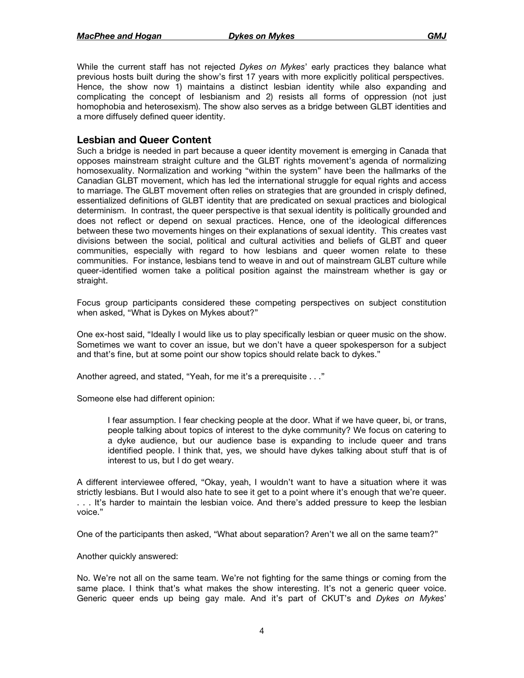While the current staff has not rejected *Dykes on Mykes*' early practices they balance what previous hosts built during the show's first 17 years with more explicitly political perspectives. Hence, the show now 1) maintains a distinct lesbian identity while also expanding and complicating the concept of lesbianism and 2) resists all forms of oppression (not just homophobia and heterosexism). The show also serves as a bridge between GLBT identities and a more diffusely defined queer identity.

#### **Lesbian and Queer Content**

Such a bridge is needed in part because a queer identity movement is emerging in Canada that opposes mainstream straight culture and the GLBT rights movement's agenda of normalizing homosexuality. Normalization and working "within the system" have been the hallmarks of the Canadian GLBT movement, which has led the international struggle for equal rights and access to marriage. The GLBT movement often relies on strategies that are grounded in crisply defined, essentialized definitions of GLBT identity that are predicated on sexual practices and biological determinism. In contrast, the queer perspective is that sexual identity is politically grounded and does not reflect or depend on sexual practices. Hence, one of the ideological differences between these two movements hinges on their explanations of sexual identity. This creates vast divisions between the social, political and cultural activities and beliefs of GLBT and queer communities, especially with regard to how lesbians and queer women relate to these communities. For instance, lesbians tend to weave in and out of mainstream GLBT culture while queer-identified women take a political position against the mainstream whether is gay or straight.

Focus group participants considered these competing perspectives on subject constitution when asked, "What is Dykes on Mykes about?"

One ex-host said, "Ideally I would like us to play specifically lesbian or queer music on the show. Sometimes we want to cover an issue, but we don't have a queer spokesperson for a subject and that's fine, but at some point our show topics should relate back to dykes."

Another agreed, and stated, "Yeah, for me it's a prerequisite . . ."

Someone else had different opinion:

I fear assumption. I fear checking people at the door. What if we have queer, bi, or trans, people talking about topics of interest to the dyke community? We focus on catering to a dyke audience, but our audience base is expanding to include queer and trans identified people. I think that, yes, we should have dykes talking about stuff that is of interest to us, but I do get weary.

A different interviewee offered, "Okay, yeah, I wouldn't want to have a situation where it was strictly lesbians. But I would also hate to see it get to a point where it's enough that we're queer. . . . It's harder to maintain the lesbian voice. And there's added pressure to keep the lesbian voice."

One of the participants then asked, "What about separation? Aren't we all on the same team?"

Another quickly answered:

No. We're not all on the same team. We're not fighting for the same things or coming from the same place. I think that's what makes the show interesting. It's not a generic queer voice. Generic queer ends up being gay male. And it's part of CKUT's and *Dykes on Mykes*'